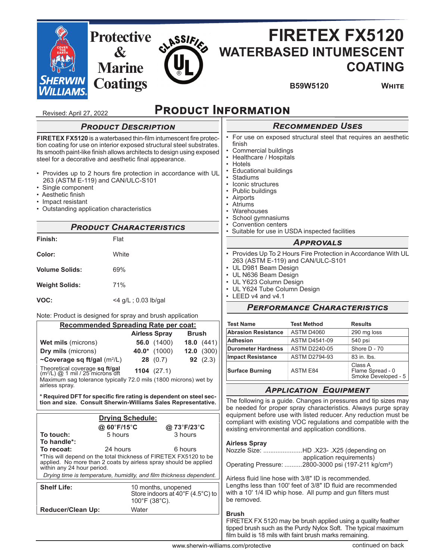

• Hotels

• Educational buildings

- Provides up to 2 hours fire protection in accordance with UL 263 (ASTM E-119) and CAN/ULC-S101
- Single component
- Aesthetic finish
- Impact resistant
- Outstanding application characteristics

# **PRODUCT CHARACTERISTICS**

| Finish:               | Flat                   |
|-----------------------|------------------------|
| Color:                | White                  |
| <b>Volume Solids:</b> | 69%                    |
| <b>Weight Solids:</b> | 71%                    |
| VOC:                  | $<$ 4 g/L; 0.03 lb/gal |

### Note: Product is designed for spray and brush application

| <u>Recommended Spreading Rate per coat:</u>                                                                                                                        |             |                                                                                               |              |                   |
|--------------------------------------------------------------------------------------------------------------------------------------------------------------------|-------------|-----------------------------------------------------------------------------------------------|--------------|-------------------|
|                                                                                                                                                                    |             | <b>Airless Spray</b>                                                                          | <b>Brush</b> |                   |
| <b>Wet mils (microns)</b>                                                                                                                                          |             | 56.0 $(1400)$                                                                                 |              | 18.0 $(441)$      |
| <b>Dry mils</b> (microns)                                                                                                                                          |             | $40.0^*$ (1000)                                                                               | 12.0         | (300)             |
| ~Coverage sq ft/gal $(m^2/L)$                                                                                                                                      |             | 28 (0.7)                                                                                      |              | <b>92</b> $(2.3)$ |
| Theoretical coverage sq ft/gal<br>$(m2/L) @ 1$ mil / 25 microns dft<br>Maximum sag tolerance typically 72.0 mils (1800 microns) wet by                             |             | $1104$ $(27.1)$                                                                               |              |                   |
| airless spray.                                                                                                                                                     |             |                                                                                               |              |                   |
| * Required DFT for specific fire rating is dependent on steel sec-<br>tion and size. Consult Sherwin-Williams Sales Representative.                                |             |                                                                                               |              |                   |
| <b>Drying Schedule:</b>                                                                                                                                            |             |                                                                                               |              |                   |
|                                                                                                                                                                    |             |                                                                                               |              |                   |
|                                                                                                                                                                    | @ 60°F/15°C |                                                                                               | @ 73°F/23°C  |                   |
| To touch:                                                                                                                                                          | 5 hours     |                                                                                               | 3 hours      |                   |
| To handle*:                                                                                                                                                        |             |                                                                                               |              |                   |
| To recoat:                                                                                                                                                         | 24 hours    |                                                                                               | 6 hours      |                   |
| *This will depend on the total thickness of FIRETEX FX5120 to be<br>applied. No more than 2 coats by airless spray should be applied<br>within any 24 hour period. |             |                                                                                               |              |                   |
| Drying time is temperature, humidity, and film thickness dependent.                                                                                                |             |                                                                                               |              |                   |
| <b>Shelf Life:</b>                                                                                                                                                 |             | 10 months, unopened<br>Store indoors at $40^{\circ}$ F (4.5 $^{\circ}$ C) to<br>100°F (38°C). |              |                   |
| <b>Reducer/Clean Up:</b>                                                                                                                                           | Water       |                                                                                               |              |                   |

- 
- UL Y624 Tube Column Design • LEED v4 and v4.1
- 

## **PERFORMANCE CHARACTERISTICS**

| <b>Test Name</b>           | <b>Test Method</b>                                                    | <b>Results</b> |
|----------------------------|-----------------------------------------------------------------------|----------------|
| <b>Abrasion Resistance</b> | ASTM D4060                                                            | 290 mg loss    |
| <b>Adhesion</b>            | <b>ASTM D4541-09</b>                                                  | 540 psi        |
| <b>Durometer Hardness</b>  | <b>ASTM D2240-05</b>                                                  | Shore D - 70   |
| <b>Impact Resistance</b>   | <b>ASTM D2794-93</b>                                                  | 83 in lbs.     |
| <b>Surface Burning</b>     | Class A<br><b>ASTM E84</b><br>Flame Spread - 0<br>Smoke Developed - 5 |                |

### **APPLICATION EQUIPMENT**

The following is a guide. Changes in pressures and tip sizes may be needed for proper spray characteristics. Always purge spray equipment before use with listed reducer. Any reduction must be compliant with existing VOC regulations and compatible with the existing environmental and application conditions.

### **Airless Spray**

| Nozzle Size: HD .X23- .X25 (depending on                        |
|-----------------------------------------------------------------|
| application requirements)                                       |
| Operating Pressure: 2800-3000 psi (197-211 kg/cm <sup>2</sup> ) |

Airless fluid line hose with 3/8" ID is recommended. Lengths less than 100' feet of 3/8" ID fluid are recommended with a 10' 1/4 ID whip hose. All pump and gun filters must be removed.

### **Brush**

FIRETEX FX 5120 may be brush applied using a quality feather tipped brush such as the Purdy Nylox Soft. The typical maximum film build is 18 mils with faint brush marks remaining.